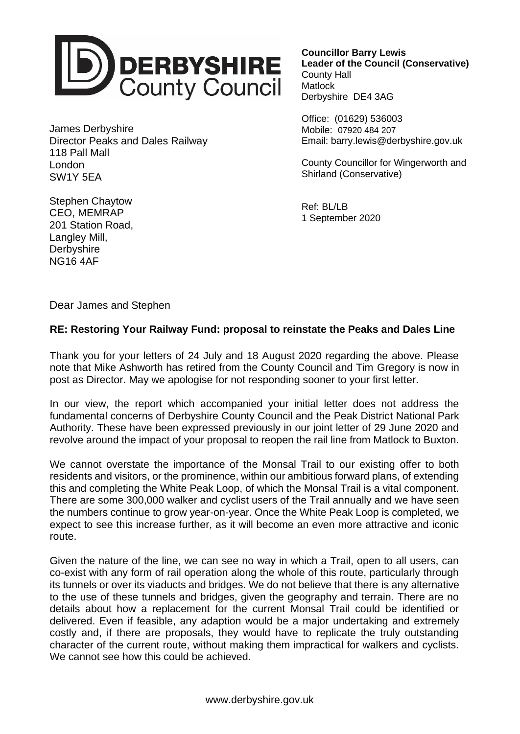

James Derbyshire Director Peaks and Dales Railway 118 Pall Mall London SW1Y 5EA

**Councillor Barry Lewis Leader of the Council (Conservative)** County Hall **Matlock** Derbyshire DE4 3AG

Office: (01629) 536003 Mobile: 07920 484 207 Email: barry.lewis@derbyshire.gov.uk

County Councillor for Wingerworth and Shirland (Conservative)

Ref: BL/LB 1 September 2020

Stephen Chaytow CEO, MEMRAP 201 Station Road, Langley Mill, **Derbyshire** NG16 4AF

Dear James and Stephen

## **RE: Restoring Your Railway Fund: proposal to reinstate the Peaks and Dales Line**

Thank you for your letters of 24 July and 18 August 2020 regarding the above. Please note that Mike Ashworth has retired from the County Council and Tim Gregory is now in post as Director. May we apologise for not responding sooner to your first letter.

In our view, the report which accompanied your initial letter does not address the fundamental concerns of Derbyshire County Council and the Peak District National Park Authority. These have been expressed previously in our joint letter of 29 June 2020 and revolve around the impact of your proposal to reopen the rail line from Matlock to Buxton.

We cannot overstate the importance of the Monsal Trail to our existing offer to both residents and visitors, or the prominence, within our ambitious forward plans, of extending this and completing the White Peak Loop, of which the Monsal Trail is a vital component. There are some 300,000 walker and cyclist users of the Trail annually and we have seen the numbers continue to grow year-on-year. Once the White Peak Loop is completed, we expect to see this increase further, as it will become an even more attractive and iconic route.

Given the nature of the line, we can see no way in which a Trail, open to all users, can co-exist with any form of rail operation along the whole of this route, particularly through its tunnels or over its viaducts and bridges. We do not believe that there is any alternative to the use of these tunnels and bridges, given the geography and terrain. There are no details about how a replacement for the current Monsal Trail could be identified or delivered. Even if feasible, any adaption would be a major undertaking and extremely costly and, if there are proposals, they would have to replicate the truly outstanding character of the current route, without making them impractical for walkers and cyclists. We cannot see how this could be achieved.